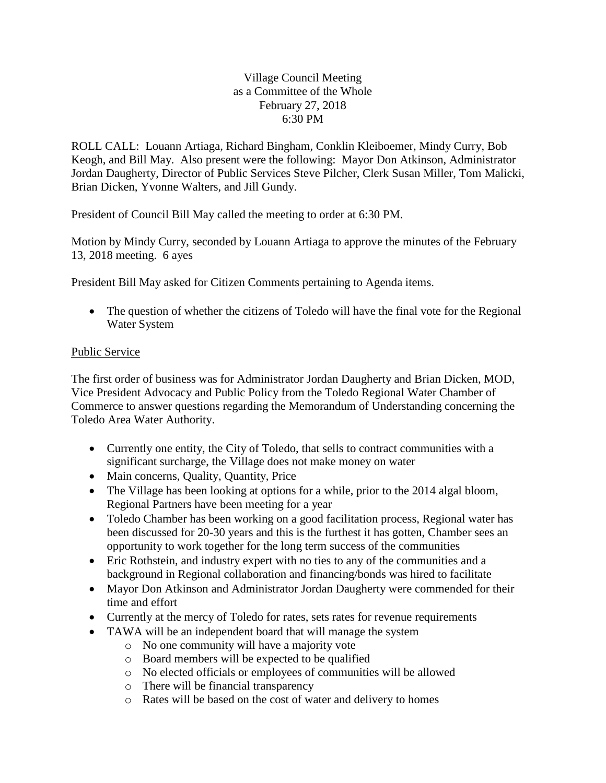## Village Council Meeting as a Committee of the Whole February 27, 2018 6:30 PM

ROLL CALL: Louann Artiaga, Richard Bingham, Conklin Kleiboemer, Mindy Curry, Bob Keogh, and Bill May. Also present were the following: Mayor Don Atkinson, Administrator Jordan Daugherty, Director of Public Services Steve Pilcher, Clerk Susan Miller, Tom Malicki, Brian Dicken, Yvonne Walters, and Jill Gundy.

President of Council Bill May called the meeting to order at 6:30 PM.

Motion by Mindy Curry, seconded by Louann Artiaga to approve the minutes of the February 13, 2018 meeting. 6 ayes

President Bill May asked for Citizen Comments pertaining to Agenda items.

• The question of whether the citizens of Toledo will have the final vote for the Regional Water System

## Public Service

The first order of business was for Administrator Jordan Daugherty and Brian Dicken, MOD, Vice President Advocacy and Public Policy from the Toledo Regional Water Chamber of Commerce to answer questions regarding the Memorandum of Understanding concerning the Toledo Area Water Authority.

- Currently one entity, the City of Toledo, that sells to contract communities with a significant surcharge, the Village does not make money on water
- Main concerns, Quality, Quantity, Price
- The Village has been looking at options for a while, prior to the 2014 algal bloom, Regional Partners have been meeting for a year
- Toledo Chamber has been working on a good facilitation process, Regional water has been discussed for 20-30 years and this is the furthest it has gotten, Chamber sees an opportunity to work together for the long term success of the communities
- Eric Rothstein, and industry expert with no ties to any of the communities and a background in Regional collaboration and financing/bonds was hired to facilitate
- Mayor Don Atkinson and Administrator Jordan Daugherty were commended for their time and effort
- Currently at the mercy of Toledo for rates, sets rates for revenue requirements
- TAWA will be an independent board that will manage the system
	- o No one community will have a majority vote
	- o Board members will be expected to be qualified
	- o No elected officials or employees of communities will be allowed
	- o There will be financial transparency
	- o Rates will be based on the cost of water and delivery to homes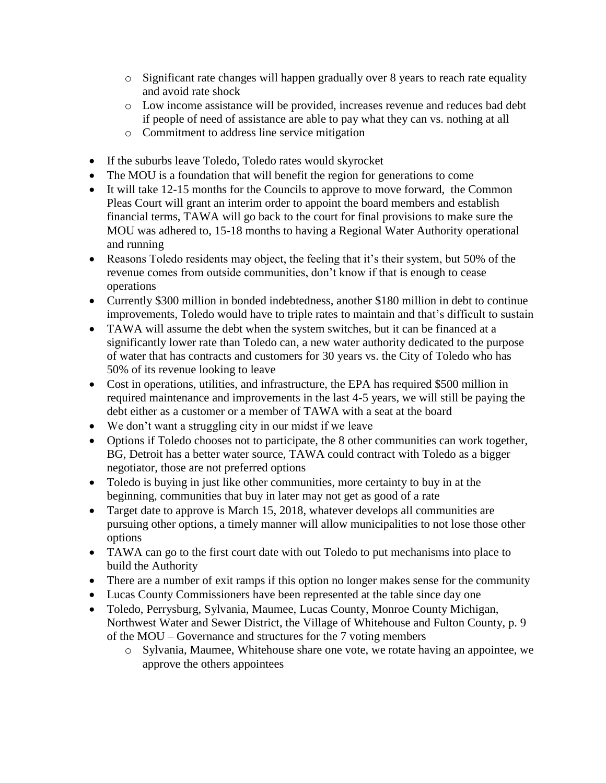- o Significant rate changes will happen gradually over 8 years to reach rate equality and avoid rate shock
- o Low income assistance will be provided, increases revenue and reduces bad debt if people of need of assistance are able to pay what they can vs. nothing at all
- o Commitment to address line service mitigation
- If the suburbs leave Toledo, Toledo rates would skyrocket
- The MOU is a foundation that will benefit the region for generations to come
- It will take 12-15 months for the Councils to approve to move forward, the Common Pleas Court will grant an interim order to appoint the board members and establish financial terms, TAWA will go back to the court for final provisions to make sure the MOU was adhered to, 15-18 months to having a Regional Water Authority operational and running
- Reasons Toledo residents may object, the feeling that it's their system, but 50% of the revenue comes from outside communities, don't know if that is enough to cease operations
- Currently \$300 million in bonded indebtedness, another \$180 million in debt to continue improvements, Toledo would have to triple rates to maintain and that's difficult to sustain
- TAWA will assume the debt when the system switches, but it can be financed at a significantly lower rate than Toledo can, a new water authority dedicated to the purpose of water that has contracts and customers for 30 years vs. the City of Toledo who has 50% of its revenue looking to leave
- Cost in operations, utilities, and infrastructure, the EPA has required \$500 million in required maintenance and improvements in the last 4-5 years, we will still be paying the debt either as a customer or a member of TAWA with a seat at the board
- We don't want a struggling city in our midst if we leave
- Options if Toledo chooses not to participate, the 8 other communities can work together, BG, Detroit has a better water source, TAWA could contract with Toledo as a bigger negotiator, those are not preferred options
- Toledo is buying in just like other communities, more certainty to buy in at the beginning, communities that buy in later may not get as good of a rate
- Target date to approve is March 15, 2018, whatever develops all communities are pursuing other options, a timely manner will allow municipalities to not lose those other options
- TAWA can go to the first court date with out Toledo to put mechanisms into place to build the Authority
- There are a number of exit ramps if this option no longer makes sense for the community
- Lucas County Commissioners have been represented at the table since day one
- Toledo, Perrysburg, Sylvania, Maumee, Lucas County, Monroe County Michigan, Northwest Water and Sewer District, the Village of Whitehouse and Fulton County, p. 9 of the MOU – Governance and structures for the 7 voting members
	- o Sylvania, Maumee, Whitehouse share one vote, we rotate having an appointee, we approve the others appointees